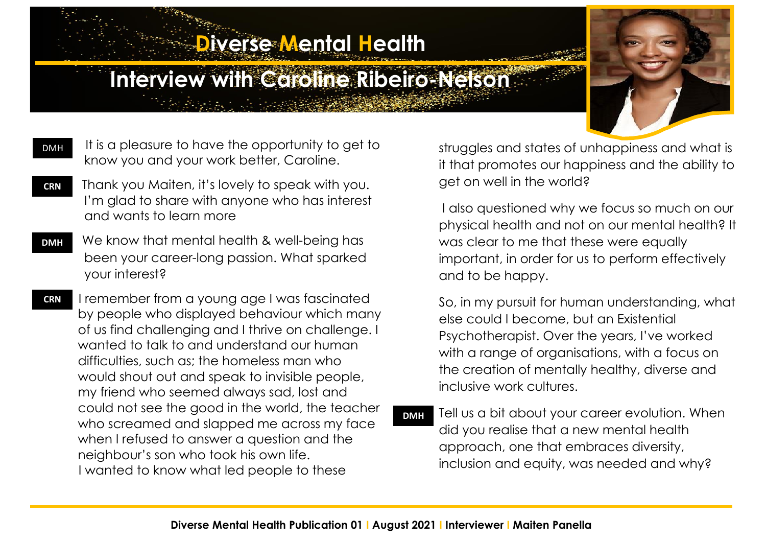## **Diverse Mental Health**

## **Interview with Caroline Ribeiro-Nelson**

- It is a pleasure to have the opportunity to get to know you and your work better, Caroline. DMH AA
- Thank you Maiten, it's lovely to speak with you. I'm glad to share with anyone who has interest and wants to learn more **CRN**
- We know that mental health & well-being has been your career-long passion. What sparked your interest? **DMH**

 I remember from a young age I was fascinated by people who displayed behaviour which many of us find challenging and I thrive on challenge. I wanted to talk to and understand our human difficulties, such as; the homeless man who would shout out and speak to invisible people, my friend who seemed always sad, lost and could not see the good in the world, the teacher who screamed and slapped me across my face when I refused to answer a question and the neighbour's son who took his own life. I wanted to know what led people to these **CRN**

struggles and states of unhappiness and what is it that promotes our happiness and the ability to get on well in the world?

I also questioned why we focus so much on our physical health and not on our mental health? It was clear to me that these were equally important, in order for us to perform effectively and to be happy.

So, in my pursuit for human understanding, what else could I become, but an Existential Psychotherapist. Over the years, I've worked with a range of organisations, with a focus on the creation of mentally healthy, diverse and inclusive work cultures.

Tell us a bit about your career evolution. When did you realise that a new mental health approach, one that embraces diversity, inclusion and equity, was needed and why? **DMH**

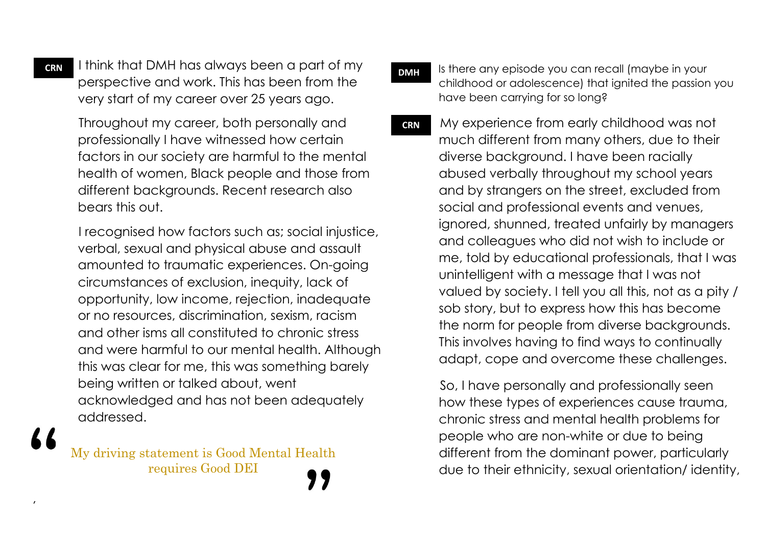I think that DMH has always been a part of my perspective and work. This has been from the very start of my career over 25 years ago.

 Throughout my career, both personally and professionally I have witnessed how certain factors in our society are harmful to the mental health of women, Black people and those from different backgrounds. Recent research also bears this out.

 I recognised how factors such as; social injustice, verbal, sexual and physical abuse and assault amounted to traumatic experiences. On-going circumstances of exclusion, inequity, lack of opportunity, low income, rejection, inadequate or no resources, discrimination, sexism, racism and other isms all constituted to chronic stress and were harmful to our mental health. Although this was clear for me, this was something barely being written or talked about, went acknowledged and has not been adequately addressed.

My driving statement is Good Mental Health requires Good DEI

- Is there any episode you can recall (maybe in your childhood or adolescence) that ignited the passion you have been carrying for so long? **DMH**
- My experience from early childhood was not much different from many others, due to their diverse background. I have been racially abused verbally throughout my school years and by strangers on the street, excluded from social and professional events and venues, ignored, shunned, treated unfairly by managers and colleagues who did not wish to include or me, told by educational professionals, that I was unintelligent with a message that I was not valued by society. I tell you all this, not as a pity / sob story, but to express how this has become the norm for people from diverse backgrounds. This involves having to find ways to continually adapt, cope and overcome these challenges. **CRN**

 So, I have personally and professionally seen how these types of experiences cause trauma, chronic stress and mental health problems for people who are non-white or due to being different from the dominant power, particularly due to their ethnicity, sexual orientation/ identity,

**CRN**

,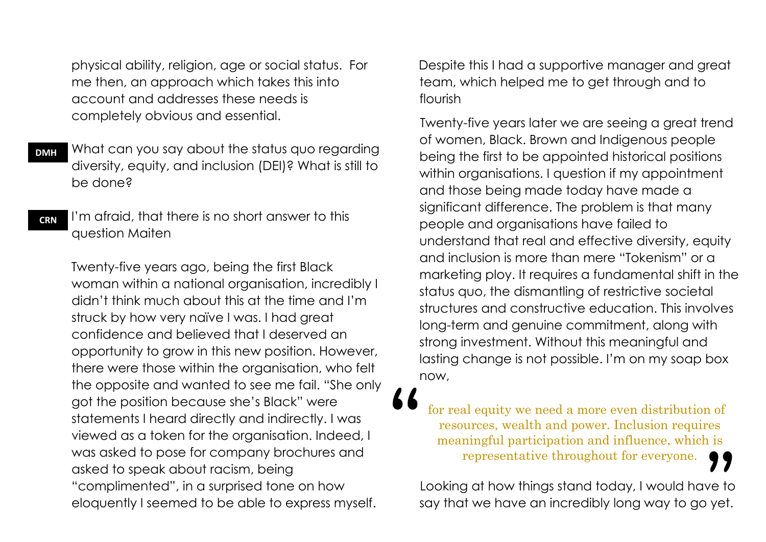physical ability, religion, age or social status. For me then, an approach which takes this into account and addresses these needs is completely obvious and essential.

 What can you say about the status quo regarding diversity, equity, and inclusion (DEI)? What is still to be done? **DMH**

 I'm afraid, that there is no short answer to this question Maiten **CRN**

 Twenty-five years ago, being the first Black woman within a national organisation, incredibly I didn't think much about this at the time and I'm struck by how very naïve I was. I had great confidence and believed that I deserved an opportunity to grow in this new position. However, there were those within the organisation, who felt the opposite and wanted to see me fail. "She only got the position because she's Black" were statements I heard directly and indirectly. I was viewed as a token for the organisation. Indeed, I was asked to pose for company brochures and asked to speak about racism, being "complimented", in a surprised tone on how eloquently I seemed to be able to express myself.

 Despite this I had a supportive manager and great team, which helped me to get through and to flourish

 Twenty-five years later we are seeing a great trend of women, Black. Brown and Indigenous people being the first to be appointed historical positions within organisations. I question if my appointment and those being made today have made a significant difference. The problem is that many people and organisations have failed to understand that real and effective diversity, equity and inclusion is more than mere "Tokenism" or a marketing ploy. It requires a fundamental shift in the status quo, the dismantling of restrictive societal structures and constructive education. This involves long-term and genuine commitment, along with strong investment. Without this meaningful and lasting change is not possible. I'm on my soap box now,

for real equity we need a more even distribution of resources, wealth and power. Inclusion requires meaningful participation and influence, which is representative throughout for everyone.

Looking at how things stand today, I would have to say that we have an incredibly long way to go yet.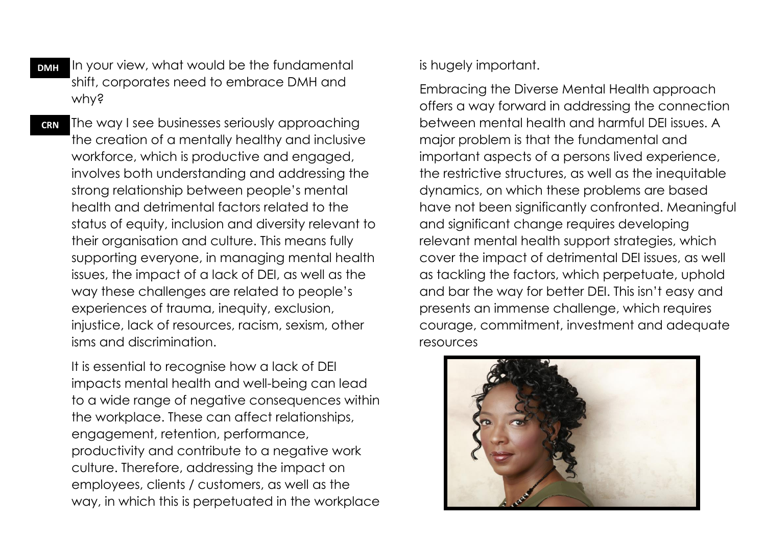In your view, what would be the fundamental shift, corporates need to embrace DMH and why? **DMH**

 The way I see businesses seriously approaching the creation of a mentally healthy and inclusive workforce, which is productive and engaged, involves both understanding and addressing the strong relationship between people's mental health and detrimental factors related to the status of equity, inclusion and diversity relevant to their organisation and culture. This means fully supporting everyone, in managing mental health issues, the impact of a lack of DEI, as well as the way these challenges are related to people's experiences of trauma, inequity, exclusion, injustice, lack of resources, racism, sexism, other isms and discrimination. **CRN**

 It is essential to recognise how a lack of DEI impacts mental health and well-being can lead to a wide range of negative consequences within the workplace. These can affect relationships, engagement, retention, performance, productivity and contribute to a negative work culture. Therefore, addressing the impact on employees, clients / customers, as well as the way, in which this is perpetuated in the workplace is hugely important.

 Embracing the Diverse Mental Health approach offers a way forward in addressing the connection between mental health and harmful DEI issues. A major problem is that the fundamental and important aspects of a persons lived experience, the restrictive structures, as well as the inequitable dynamics, on which these problems are based have not been significantly confronted. Meaningful and significant change requires developing relevant mental health support strategies, which cover the impact of detrimental DEI issues, as well as tackling the factors, which perpetuate, uphold and bar the way for better DEI. This isn't easy and presents an immense challenge, which requires courage, commitment, investment and adequate resources

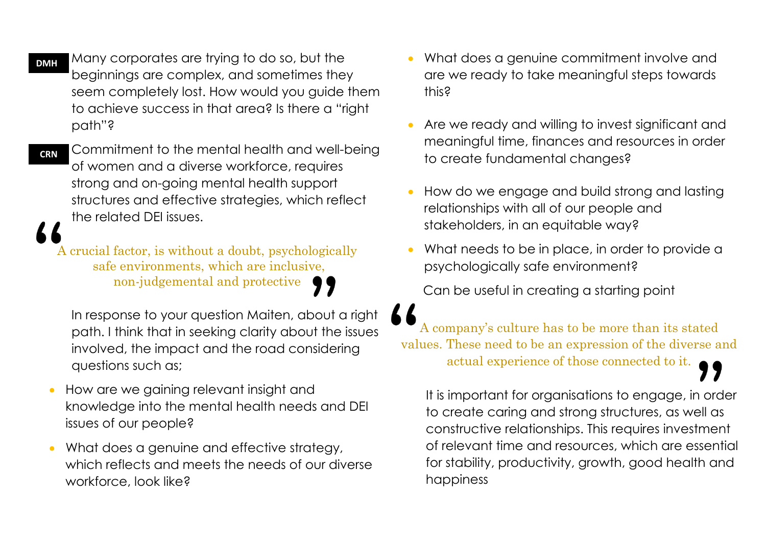**DMH**

 Many corporates are trying to do so, but the beginnings are complex, and sometimes they seem completely lost. How would you guide them to achieve success in that area? Is there a "right path"?

 Commitment to the mental health and well-being of women and a diverse workforce, requires strong and on-going mental health support structures and effective strategies, which reflect the related DEI issues. **CRN**

A crucial factor, is without a doubt, psychologically safe environments, which are inclusive, non-judgemental and protective

 In response to your question Maiten, about a right path. I think that in seeking clarity about the issues involved, the impact and the road considering questions such as;

- How are we gaining relevant insight and knowledge into the mental health needs and DEI issues of our people?
- What does a genuine and effective strategy, which reflects and meets the needs of our diverse workforce, look like?
- What does a genuine commitment involve and are we ready to take meaningful steps towards this?
- Are we ready and willing to invest significant and meaningful time, finances and resources in order to create fundamental changes?
- How do we engage and build strong and lasting relationships with all of our people and stakeholders, in an equitable way?
- What needs to be in place, in order to provide a psychologically safe environment?

Can be useful in creating a starting point

A company's culture has to be more than its stated values. These need to be an expression of the diverse and actual experience of those connected to it.

 It is important for organisations to engage, in order to create caring and strong structures, as well as constructive relationships. This requires investment of relevant time and resources, which are essential for stability, productivity, growth, good health and happiness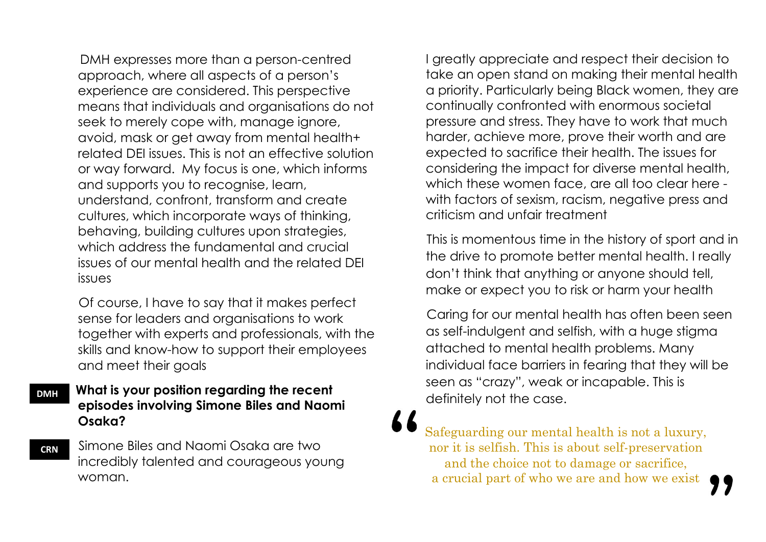DMH expresses more than a person-centred approach, where all aspects of a person's experience are considered. This perspective means that individuals and organisations do not seek to merely cope with, manage ignore, avoid, mask or get away from mental health+ related DEI issues. This is not an effective solution or way forward. My focus is one, which informs and supports you to recognise, learn, understand, confront, transform and create cultures, which incorporate ways of thinking, behaving, building cultures upon strategies, which address the fundamental and crucial issues of our mental health and the related DEI issues

 Of course, I have to say that it makes perfect sense for leaders and organisations to work together with experts and professionals, with the skills and know-how to support their employees and meet their goals

## **What is your position regarding the recent episodes involving Simone Biles and Naomi Osaka?**

 Simone Biles and Naomi Osaka are two incredibly talented and courageous young woman.

I greatly appreciate and respect their decision to take an open stand on making their mental health a priority. Particularly being Black women, they are continually confronted with enormous societal pressure and stress. They have to work that much harder, achieve more, prove their worth and are expected to sacrifice their health. The issues for considering the impact for diverse mental health, which these women face, are all too clear here with factors of sexism, racism, negative press and criticism and unfair treatment

 This is momentous time in the history of sport and in the drive to promote better mental health. I really don't think that anything or anyone should tell, make or expect you to risk or harm your health

 Caring for our mental health has often been seen as self-indulgent and selfish, with a huge stigma attached to mental health problems. Many individual face barriers in fearing that they will be seen as "crazy", weak or incapable. This is definitely not the case.

Safeguarding our mental health is not a luxury, nor it is selfish. This is about self-preservation and the choice not to damage or sacrifice, a crucial part of who we are and how we exist

**CRN**